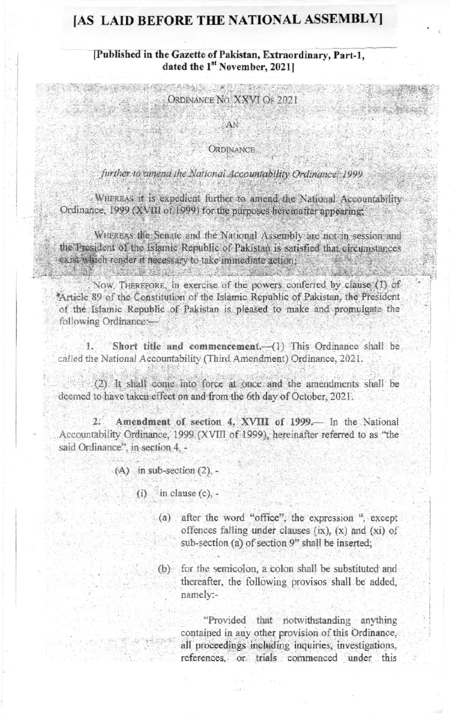## [AS LAID BEFORE THE NATIONAL ASSEMBLY]

## [Published in the Gazette of Pakistan, Extraordinary, Part-1. dated the 1<sup>st</sup> November, 2021]

STATISTICS IN THE REAL PROPERTY ORDINANCE NO. XXVI OF 2021

AN

## **ORDINANCE**

## further to amend the National Accountability Ordinance, 1999

WHEREAS it is expedient further to amend the National Accountability Ordinance, 1999 (XVIII of 1999) for the purposes hereinafter appearing;

WHEREAS the Senate and the National Assembly are not in session and the President of the Islamic Republic of Pakistan is satisfied that circumstances exist which render it necessary to take immediate action: dubun ke sahun ke

Now. THEREFORE, in exercise of the powers conferred by clause (1) of \*Article 89 of the Constitution of the Islamic Republic of Pakistan, the President of the Islamic Republic of Pakistan is pleased to make and promulgate the following Ordinance:-

Short title and commencement.- (1) This Ordinance shall be  $\mathbb{R}$ . called the National Accountability (Third Amendment) Ordinance, 2021.

(2) It shall come into force at once and the amendments shall be deemed to have taken effect on and from the 6th day of October, 2021.

Amendment of section 4. XVIII of 1999.— In the National  $2:$ Accountability Ordinance, 1999 (XVIII of 1999), hereinafter referred to as "the said Ordinance", in section 4. -

 $(A)$  in sub-section  $(2)$ , -

 $(i)$  in clause  $(c)$ .

- (a) after the word "office", the expression ", except offences falling under clauses (ix), (x) and (xi) of sub-section (a) of section 9" shall be inserted;
- (b) for the semicolon, a colon shall be substituted and thereafter, the following provisos shall be added, namely:-

"Provided that notwithstanding anything contained in any other provision of this Ordinance. all proceedings including inquiries, investigations, references, or trials commenced under this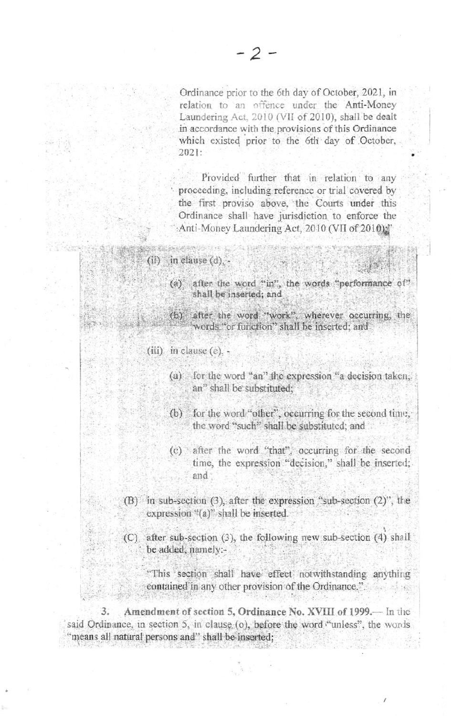Ordinance prior to the 6th day of October, 2021, in relation to an offence under the Anti-Money Laundering Act. 2010 (VII of 2010), shall be dealt in accordance with the provisions of this Ordinance which existed prior to the 6th day of October,  $2021:$ 

Provided further that in relation to any proceeding, including reference or trial covered by the first proviso above, the Courts under this Ordinance shall have jurisdiction to enforce the :Anti-Money Laundering Act, 2010 (VII of 2010)."

 $(ii)$  in clause  $(d)$ .

- (a) after the word "in", the words "performance of" shall be inserted; and
- (b) after the word "work", wherever occurring, the words "or function" shall be inserted; and

 $(iii)$  in clause  $(e)$ , -

- (a) for the word "an" the expression "a decision taken, an" shall be substituted:
- (b) for the word "other", occurring for the second time, the word "such" shall be substituted; and
- (c) after the word "that", occurring for the second time, the expression "decision," shall be inserted; and
- (B) in sub-section (3), after the expression "sub-section (2)", the expression "(a)" shall be inserted.
- (C) after sub-section (3), the following new sub-section (4) shall be added, namely:-

"This section shall have effect notwithstanding anything contained in any other provision of the Ordinance.".

Amendment of section 5, Ordinance No. XVIII of 1999. In the 3. said Ordinance, in section 5, in clause (o), before the word "unless", the words "means all natural persons and" shall be inserted: